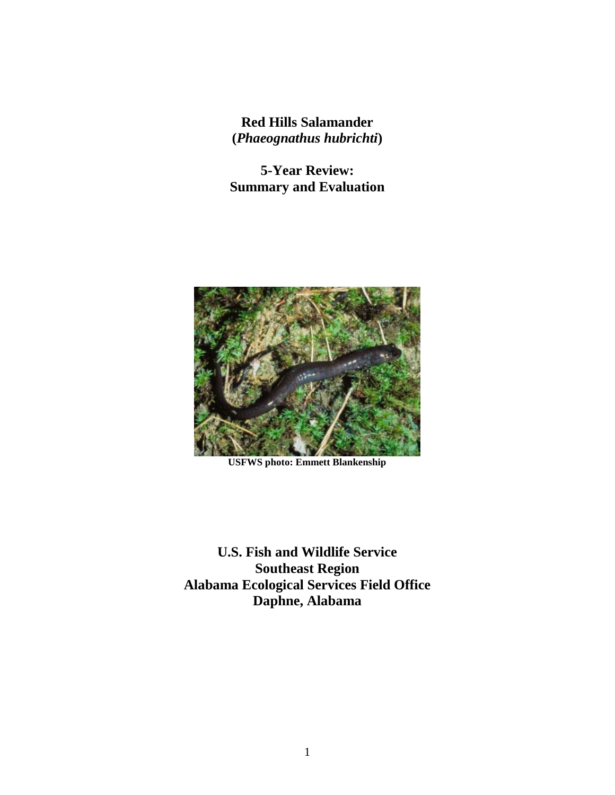**Red Hills Salamander (***Phaeognathus hubrichti***)**

**5-Year Review: Summary and Evaluation**



**USFWS photo: Emmett Blankenship**

**U.S. Fish and Wildlife Service Southeast Region Alabama Ecological Services Field Office Daphne, Alabama**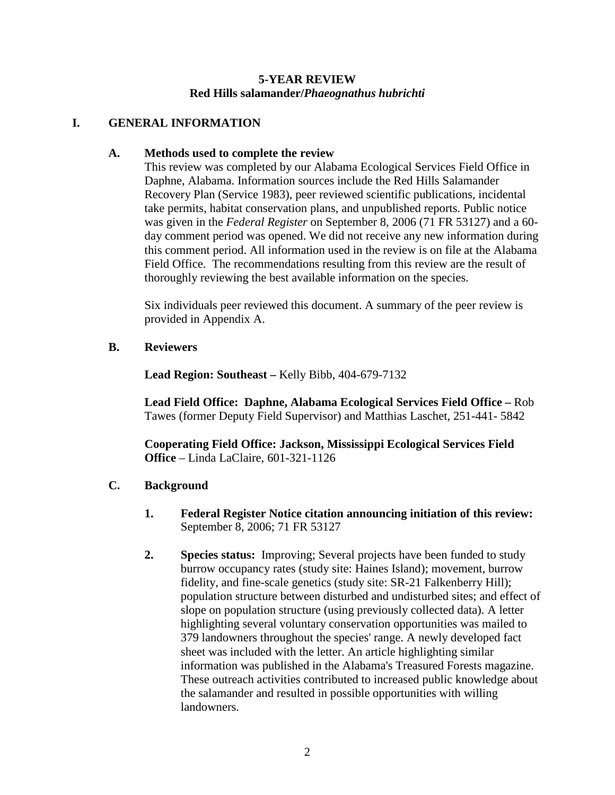## **5-YEAR REVIEW Red Hills salamander/***Phaeognathus hubrichti*

### **I. GENERAL INFORMATION**

### **A. Methods used to complete the review**

This review was completed by our Alabama Ecological Services Field Office in Daphne, Alabama. Information sources include the Red Hills Salamander Recovery Plan (Service 1983), peer reviewed scientific publications, incidental take permits, habitat conservation plans, and unpublished reports. Public notice was given in the *Federal Register* on September 8, 2006 (71 FR 53127) and a 60 day comment period was opened. We did not receive any new information during this comment period. All information used in the review is on file at the Alabama Field Office. The recommendations resulting from this review are the result of thoroughly reviewing the best available information on the species.

Six individuals peer reviewed this document. A summary of the peer review is provided in Appendix A.

### **B. Reviewers**

**Lead Region: Southeast –** Kelly Bibb, 404-679-7132

**Lead Field Office: Daphne, Alabama Ecological Services Field Office –** Rob Tawes (former Deputy Field Supervisor) and Matthias Laschet, 251-441- 5842

**Cooperating Field Office: Jackson, Mississippi Ecological Services Field Office** – Linda LaClaire, 601-321-1126

# **C. Background**

- **1. Federal Register Notice citation announcing initiation of this review:** September 8, 2006; 71 FR 53127
- **2. Species status:** Improving; Several projects have been funded to study burrow occupancy rates (study site: Haines Island); movement, burrow fidelity, and fine-scale genetics (study site: SR-21 Falkenberry Hill); population structure between disturbed and undisturbed sites; and effect of slope on population structure (using previously collected data). A letter highlighting several voluntary conservation opportunities was mailed to 379 landowners throughout the species' range. A newly developed fact sheet was included with the letter. An article highlighting similar information was published in the Alabama's Treasured Forests magazine. These outreach activities contributed to increased public knowledge about the salamander and resulted in possible opportunities with willing landowners.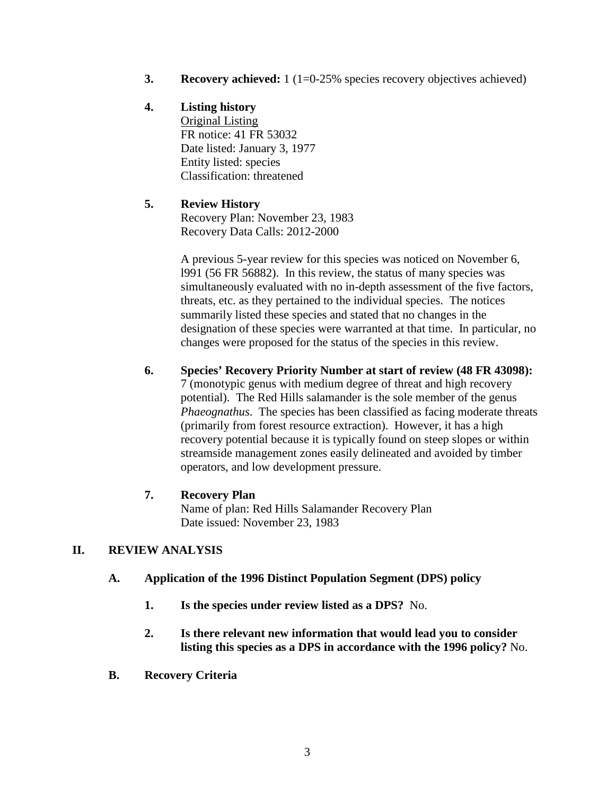**3. Recovery achieved:** 1 (1=0-25% species recovery objectives achieved)

# **4. Listing history**

Original Listing FR notice: 41 FR 53032 Date listed: January 3, 1977 Entity listed: species Classification: threatened

# **5. Review History**

Recovery Plan: November 23, 1983 Recovery Data Calls: 2012-2000

A previous 5-year review for this species was noticed on November 6, l991 (56 FR 56882). In this review, the status of many species was simultaneously evaluated with no in-depth assessment of the five factors, threats, etc. as they pertained to the individual species. The notices summarily listed these species and stated that no changes in the designation of these species were warranted at that time. In particular, no changes were proposed for the status of the species in this review.

# **6. Species' Recovery Priority Number at start of review (48 FR 43098):**  7 (monotypic genus with medium degree of threat and high recovery potential). The Red Hills salamander is the sole member of the genus *Phaeognathus*. The species has been classified as facing moderate threats (primarily from forest resource extraction). However, it has a high recovery potential because it is typically found on steep slopes or within streamside management zones easily delineated and avoided by timber operators, and low development pressure.

# **7. Recovery Plan**

Name of plan: Red Hills Salamander Recovery Plan Date issued: November 23, 1983

# **II. REVIEW ANALYSIS**

- **A. Application of the 1996 Distinct Population Segment (DPS) policy**
	- **1. Is the species under review listed as a DPS?** No.
	- **2. Is there relevant new information that would lead you to consider listing this species as a DPS in accordance with the 1996 policy?** No.
- **B. Recovery Criteria**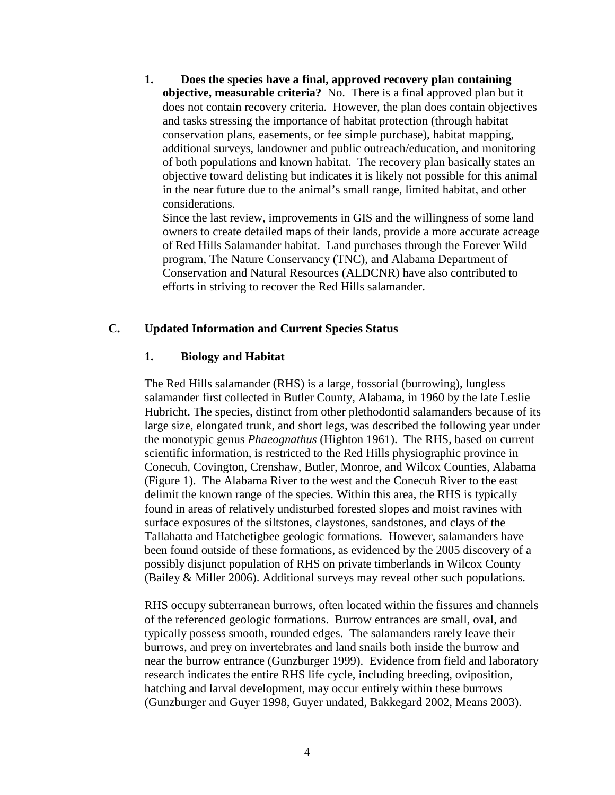**1. Does the species have a final, approved recovery plan containing objective, measurable criteria?** No. There is a final approved plan but it does not contain recovery criteria. However, the plan does contain objectives and tasks stressing the importance of habitat protection (through habitat conservation plans, easements, or fee simple purchase), habitat mapping, additional surveys, landowner and public outreach/education, and monitoring of both populations and known habitat. The recovery plan basically states an objective toward delisting but indicates it is likely not possible for this animal in the near future due to the animal's small range, limited habitat, and other considerations.

Since the last review, improvements in GIS and the willingness of some land owners to create detailed maps of their lands, provide a more accurate acreage of Red Hills Salamander habitat. Land purchases through the Forever Wild program, The Nature Conservancy (TNC), and Alabama Department of Conservation and Natural Resources (ALDCNR) have also contributed to efforts in striving to recover the Red Hills salamander.

### **C. Updated Information and Current Species Status**

### **1. Biology and Habitat**

The Red Hills salamander (RHS) is a large, fossorial (burrowing), lungless salamander first collected in Butler County, Alabama, in 1960 by the late Leslie Hubricht. The species, distinct from other plethodontid salamanders because of its large size, elongated trunk, and short legs, was described the following year under the monotypic genus *Phaeognathus* (Highton 1961). The RHS, based on current scientific information, is restricted to the Red Hills physiographic province in Conecuh, Covington, Crenshaw, Butler, Monroe, and Wilcox Counties, Alabama (Figure 1). The Alabama River to the west and the Conecuh River to the east delimit the known range of the species. Within this area, the RHS is typically found in areas of relatively undisturbed forested slopes and moist ravines with surface exposures of the siltstones, claystones, sandstones, and clays of the Tallahatta and Hatchetigbee geologic formations. However, salamanders have been found outside of these formations, as evidenced by the 2005 discovery of a possibly disjunct population of RHS on private timberlands in Wilcox County (Bailey & Miller 2006). Additional surveys may reveal other such populations.

RHS occupy subterranean burrows, often located within the fissures and channels of the referenced geologic formations. Burrow entrances are small, oval, and typically possess smooth, rounded edges. The salamanders rarely leave their burrows, and prey on invertebrates and land snails both inside the burrow and near the burrow entrance (Gunzburger 1999). Evidence from field and laboratory research indicates the entire RHS life cycle, including breeding, oviposition, hatching and larval development, may occur entirely within these burrows (Gunzburger and Guyer 1998, Guyer undated, Bakkegard 2002, Means 2003).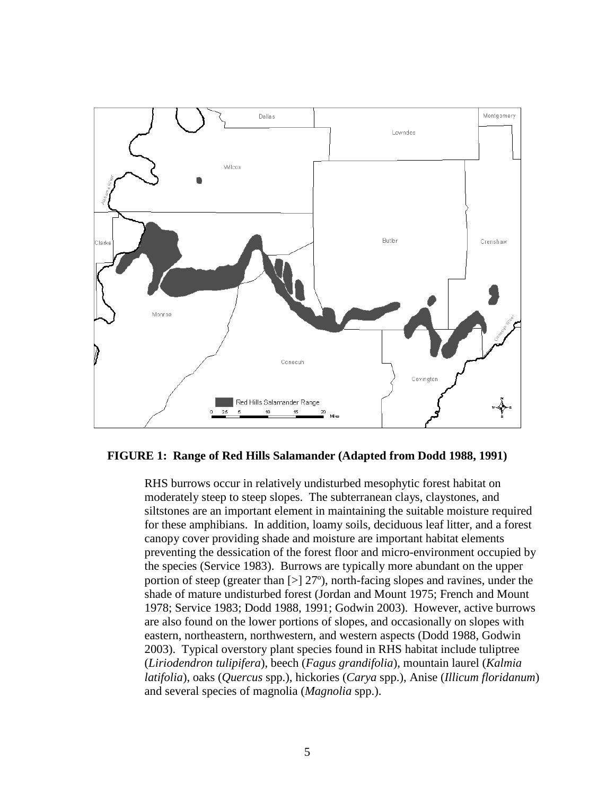

#### **FIGURE 1: Range of Red Hills Salamander (Adapted from Dodd 1988, 1991)**

RHS burrows occur in relatively undisturbed mesophytic forest habitat on moderately steep to steep slopes. The subterranean clays, claystones, and siltstones are an important element in maintaining the suitable moisture required for these amphibians. In addition, loamy soils, deciduous leaf litter, and a forest canopy cover providing shade and moisture are important habitat elements preventing the dessication of the forest floor and micro-environment occupied by the species (Service 1983). Burrows are typically more abundant on the upper portion of steep (greater than [>] 27º), north-facing slopes and ravines, under the shade of mature undisturbed forest (Jordan and Mount 1975; French and Mount 1978; Service 1983; Dodd 1988, 1991; Godwin 2003). However, active burrows are also found on the lower portions of slopes, and occasionally on slopes with eastern, northeastern, northwestern, and western aspects (Dodd 1988, Godwin 2003). Typical overstory plant species found in RHS habitat include tuliptree (*Liriodendron tulipifera*), beech (*Fagus grandifolia*), mountain laurel (*Kalmia latifolia*), oaks (*Quercus* spp.), hickories (*Carya* spp.), Anise (*Illicum floridanum*) and several species of magnolia (*Magnolia* spp.).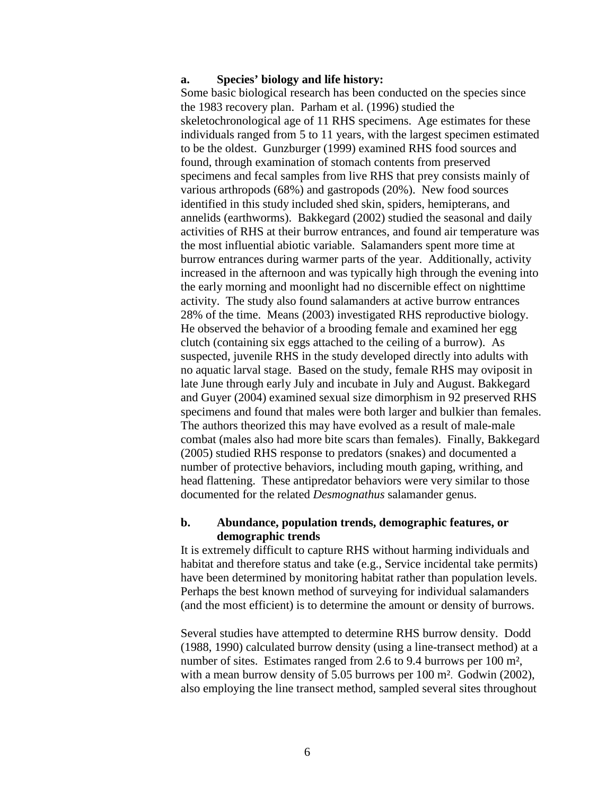#### **a. Species' biology and life history:**

Some basic biological research has been conducted on the species since the 1983 recovery plan. Parham et al. (1996) studied the skeletochronological age of 11 RHS specimens. Age estimates for these individuals ranged from 5 to 11 years, with the largest specimen estimated to be the oldest. Gunzburger (1999) examined RHS food sources and found, through examination of stomach contents from preserved specimens and fecal samples from live RHS that prey consists mainly of various arthropods (68%) and gastropods (20%). New food sources identified in this study included shed skin, spiders, hemipterans, and annelids (earthworms). Bakkegard (2002) studied the seasonal and daily activities of RHS at their burrow entrances, and found air temperature was the most influential abiotic variable. Salamanders spent more time at burrow entrances during warmer parts of the year. Additionally, activity increased in the afternoon and was typically high through the evening into the early morning and moonlight had no discernible effect on nighttime activity. The study also found salamanders at active burrow entrances 28% of the time. Means (2003) investigated RHS reproductive biology. He observed the behavior of a brooding female and examined her egg clutch (containing six eggs attached to the ceiling of a burrow). As suspected, juvenile RHS in the study developed directly into adults with no aquatic larval stage. Based on the study, female RHS may oviposit in late June through early July and incubate in July and August. Bakkegard and Guyer (2004) examined sexual size dimorphism in 92 preserved RHS specimens and found that males were both larger and bulkier than females. The authors theorized this may have evolved as a result of male-male combat (males also had more bite scars than females). Finally, Bakkegard (2005) studied RHS response to predators (snakes) and documented a number of protective behaviors, including mouth gaping, writhing, and head flattening. These antipredator behaviors were very similar to those documented for the related *Desmognathus* salamander genus.

#### **b. Abundance, population trends, demographic features, or demographic trends**

It is extremely difficult to capture RHS without harming individuals and habitat and therefore status and take (e.g., Service incidental take permits) have been determined by monitoring habitat rather than population levels. Perhaps the best known method of surveying for individual salamanders (and the most efficient) is to determine the amount or density of burrows.

Several studies have attempted to determine RHS burrow density. Dodd (1988, 1990) calculated burrow density (using a line-transect method) at a number of sites. Estimates ranged from 2.6 to 9.4 burrows per 100 m², with a mean burrow density of 5.05 burrows per 100 m<sup>2</sup>. Godwin (2002), also employing the line transect method, sampled several sites throughout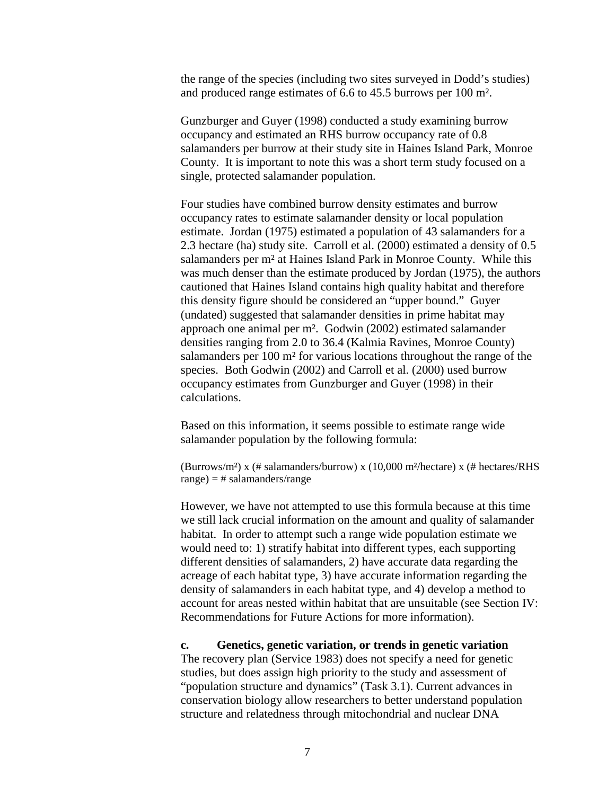the range of the species (including two sites surveyed in Dodd's studies) and produced range estimates of 6.6 to 45.5 burrows per 100 m².

Gunzburger and Guyer (1998) conducted a study examining burrow occupancy and estimated an RHS burrow occupancy rate of 0.8 salamanders per burrow at their study site in Haines Island Park, Monroe County. It is important to note this was a short term study focused on a single, protected salamander population.

Four studies have combined burrow density estimates and burrow occupancy rates to estimate salamander density or local population estimate. Jordan (1975) estimated a population of 43 salamanders for a 2.3 hectare (ha) study site. Carroll et al. (2000) estimated a density of 0.5 salamanders per m² at Haines Island Park in Monroe County. While this was much denser than the estimate produced by Jordan (1975), the authors cautioned that Haines Island contains high quality habitat and therefore this density figure should be considered an "upper bound." Guyer (undated) suggested that salamander densities in prime habitat may approach one animal per m². Godwin (2002) estimated salamander densities ranging from 2.0 to 36.4 (Kalmia Ravines, Monroe County) salamanders per 100 m² for various locations throughout the range of the species. Both Godwin (2002) and Carroll et al. (2000) used burrow occupancy estimates from Gunzburger and Guyer (1998) in their calculations.

Based on this information, it seems possible to estimate range wide salamander population by the following formula:

(Burrows/m<sup>2</sup>) x (# salamanders/burrow) x (10,000 m<sup>2</sup>/hectare) x (# hectares/RHS  $range) = # salamanders/range$ 

However, we have not attempted to use this formula because at this time we still lack crucial information on the amount and quality of salamander habitat. In order to attempt such a range wide population estimate we would need to: 1) stratify habitat into different types, each supporting different densities of salamanders, 2) have accurate data regarding the acreage of each habitat type, 3) have accurate information regarding the density of salamanders in each habitat type, and 4) develop a method to account for areas nested within habitat that are unsuitable (see Section IV: Recommendations for Future Actions for more information).

**c. Genetics, genetic variation, or trends in genetic variation**  The recovery plan (Service 1983) does not specify a need for genetic studies, but does assign high priority to the study and assessment of "population structure and dynamics" (Task 3.1). Current advances in conservation biology allow researchers to better understand population structure and relatedness through mitochondrial and nuclear DNA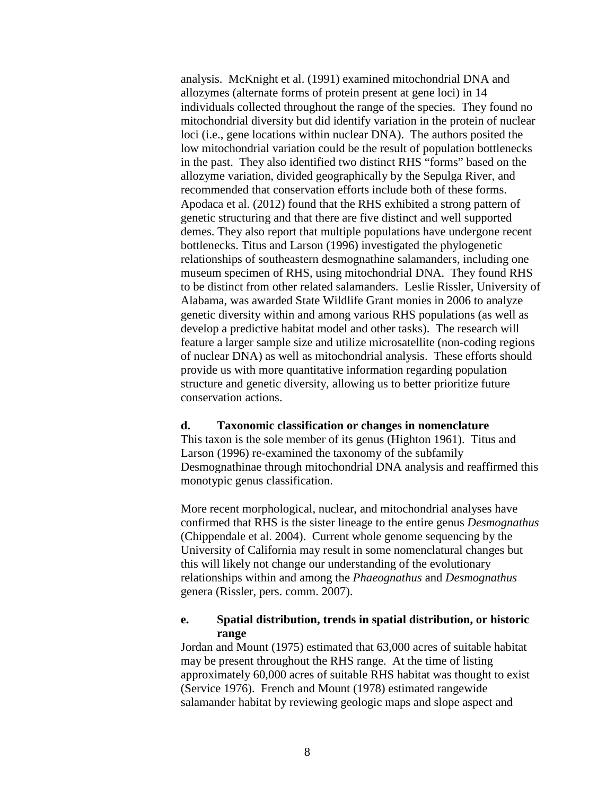analysis. McKnight et al. (1991) examined mitochondrial DNA and allozymes (alternate forms of protein present at gene loci) in 14 individuals collected throughout the range of the species. They found no mitochondrial diversity but did identify variation in the protein of nuclear loci (i.e., gene locations within nuclear DNA). The authors posited the low mitochondrial variation could be the result of population bottlenecks in the past. They also identified two distinct RHS "forms" based on the allozyme variation, divided geographically by the Sepulga River, and recommended that conservation efforts include both of these forms. Apodaca et al. (2012) found that the RHS exhibited a strong pattern of genetic structuring and that there are five distinct and well supported demes. They also report that multiple populations have undergone recent bottlenecks. Titus and Larson (1996) investigated the phylogenetic relationships of southeastern desmognathine salamanders, including one museum specimen of RHS, using mitochondrial DNA. They found RHS to be distinct from other related salamanders. Leslie Rissler, University of Alabama, was awarded State Wildlife Grant monies in 2006 to analyze genetic diversity within and among various RHS populations (as well as develop a predictive habitat model and other tasks). The research will feature a larger sample size and utilize microsatellite (non-coding regions of nuclear DNA) as well as mitochondrial analysis. These efforts should provide us with more quantitative information regarding population structure and genetic diversity, allowing us to better prioritize future conservation actions.

#### **d. Taxonomic classification or changes in nomenclature**

This taxon is the sole member of its genus (Highton 1961). Titus and Larson (1996) re-examined the taxonomy of the subfamily Desmognathinae through mitochondrial DNA analysis and reaffirmed this monotypic genus classification.

More recent morphological, nuclear, and mitochondrial analyses have confirmed that RHS is the sister lineage to the entire genus *Desmognathus* (Chippendale et al. 2004). Current whole genome sequencing by the University of California may result in some nomenclatural changes but this will likely not change our understanding of the evolutionary relationships within and among the *Phaeognathus* and *Desmognathus* genera (Rissler, pers. comm. 2007).

### **e. Spatial distribution, trends in spatial distribution, or historic range**

Jordan and Mount (1975) estimated that 63,000 acres of suitable habitat may be present throughout the RHS range. At the time of listing approximately 60,000 acres of suitable RHS habitat was thought to exist (Service 1976). French and Mount (1978) estimated rangewide salamander habitat by reviewing geologic maps and slope aspect and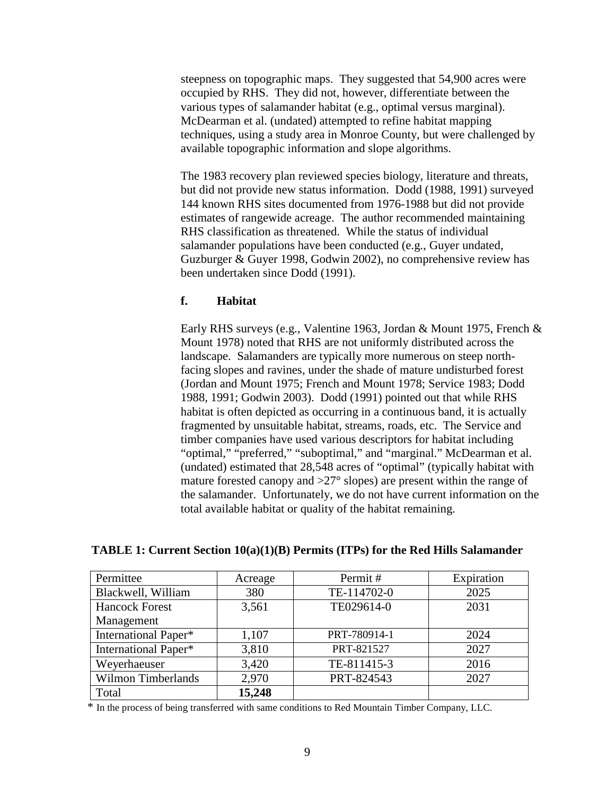steepness on topographic maps. They suggested that 54,900 acres were occupied by RHS. They did not, however, differentiate between the various types of salamander habitat (e.g., optimal versus marginal). McDearman et al. (undated) attempted to refine habitat mapping techniques, using a study area in Monroe County, but were challenged by available topographic information and slope algorithms.

The 1983 recovery plan reviewed species biology, literature and threats, but did not provide new status information. Dodd (1988, 1991) surveyed 144 known RHS sites documented from 1976-1988 but did not provide estimates of rangewide acreage. The author recommended maintaining RHS classification as threatened. While the status of individual salamander populations have been conducted (e.g., Guyer undated, Guzburger & Guyer 1998, Godwin 2002), no comprehensive review has been undertaken since Dodd (1991).

### **f. Habitat**

Early RHS surveys (e.g., Valentine 1963, Jordan & Mount 1975, French & Mount 1978) noted that RHS are not uniformly distributed across the landscape. Salamanders are typically more numerous on steep northfacing slopes and ravines, under the shade of mature undisturbed forest (Jordan and Mount 1975; French and Mount 1978; Service 1983; Dodd 1988, 1991; Godwin 2003). Dodd (1991) pointed out that while RHS habitat is often depicted as occurring in a continuous band, it is actually fragmented by unsuitable habitat, streams, roads, etc. The Service and timber companies have used various descriptors for habitat including "optimal," "preferred," "suboptimal," and "marginal." McDearman et al. (undated) estimated that 28,548 acres of "optimal" (typically habitat with mature forested canopy and  $>27^{\circ}$  slopes) are present within the range of the salamander. Unfortunately, we do not have current information on the total available habitat or quality of the habitat remaining.

| Permittee                 | Acreage | Permit#      | Expiration |
|---------------------------|---------|--------------|------------|
| Blackwell, William        | 380     | TE-114702-0  | 2025       |
| <b>Hancock Forest</b>     | 3,561   | TE029614-0   | 2031       |
| Management                |         |              |            |
| International Paper*      | 1,107   | PRT-780914-1 | 2024       |
| International Paper*      | 3,810   | PRT-821527   | 2027       |
| Weyerhaeuser              | 3,420   | TE-811415-3  | 2016       |
| <b>Wilmon Timberlands</b> | 2,970   | PRT-824543   | 2027       |
| Total                     | 15,248  |              |            |

### **TABLE 1: Current Section 10(a)(1)(B) Permits (ITPs) for the Red Hills Salamander**

\* In the process of being transferred with same conditions to Red Mountain Timber Company, LLC.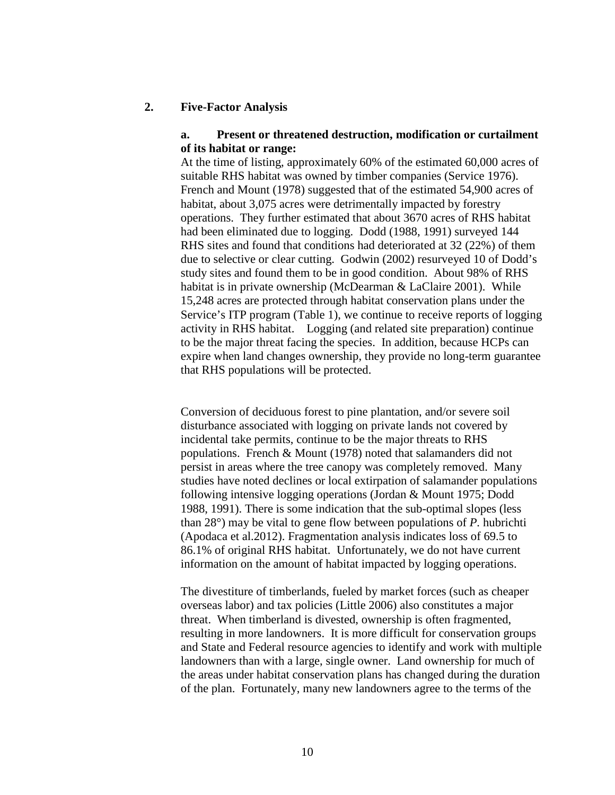#### **2. Five-Factor Analysis**

### **a. Present or threatened destruction, modification or curtailment of its habitat or range:**

At the time of listing, approximately 60% of the estimated 60,000 acres of suitable RHS habitat was owned by timber companies (Service 1976). French and Mount (1978) suggested that of the estimated 54,900 acres of habitat, about 3,075 acres were detrimentally impacted by forestry operations. They further estimated that about 3670 acres of RHS habitat had been eliminated due to logging. Dodd (1988, 1991) surveyed 144 RHS sites and found that conditions had deteriorated at 32 (22%) of them due to selective or clear cutting. Godwin (2002) resurveyed 10 of Dodd's study sites and found them to be in good condition. About 98% of RHS habitat is in private ownership (McDearman & LaClaire 2001). While 15,248 acres are protected through habitat conservation plans under the Service's ITP program (Table 1), we continue to receive reports of logging activity in RHS habitat. Logging (and related site preparation) continue to be the major threat facing the species. In addition, because HCPs can expire when land changes ownership, they provide no long-term guarantee that RHS populations will be protected.

Conversion of deciduous forest to pine plantation, and/or severe soil disturbance associated with logging on private lands not covered by incidental take permits, continue to be the major threats to RHS populations. French & Mount (1978) noted that salamanders did not persist in areas where the tree canopy was completely removed. Many studies have noted declines or local extirpation of salamander populations following intensive logging operations (Jordan & Mount 1975; Dodd 1988, 1991). There is some indication that the sub-optimal slopes (less than 28°) may be vital to gene flow between populations of *P.* hubrichti (Apodaca et al.2012). Fragmentation analysis indicates loss of 69.5 to 86.1% of original RHS habitat. Unfortunately, we do not have current information on the amount of habitat impacted by logging operations.

The divestiture of timberlands, fueled by market forces (such as cheaper overseas labor) and tax policies (Little 2006) also constitutes a major threat. When timberland is divested, ownership is often fragmented, resulting in more landowners. It is more difficult for conservation groups and State and Federal resource agencies to identify and work with multiple landowners than with a large, single owner. Land ownership for much of the areas under habitat conservation plans has changed during the duration of the plan. Fortunately, many new landowners agree to the terms of the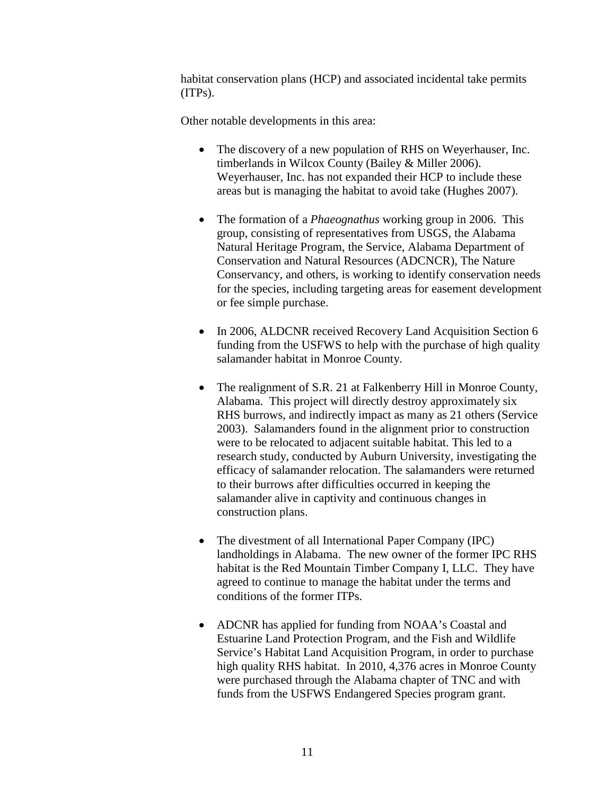habitat conservation plans (HCP) and associated incidental take permits (ITPs).

Other notable developments in this area:

- The discovery of a new population of RHS on Weyerhauser, Inc. timberlands in Wilcox County (Bailey & Miller 2006). Weyerhauser, Inc. has not expanded their HCP to include these areas but is managing the habitat to avoid take (Hughes 2007).
- The formation of a *Phaeognathus* working group in 2006. This group, consisting of representatives from USGS, the Alabama Natural Heritage Program, the Service, Alabama Department of Conservation and Natural Resources (ADCNCR), The Nature Conservancy, and others, is working to identify conservation needs for the species, including targeting areas for easement development or fee simple purchase.
- In 2006, ALDCNR received Recovery Land Acquisition Section 6 funding from the USFWS to help with the purchase of high quality salamander habitat in Monroe County.
- The realignment of S.R. 21 at Falkenberry Hill in Monroe County, Alabama. This project will directly destroy approximately six RHS burrows, and indirectly impact as many as 21 others (Service 2003). Salamanders found in the alignment prior to construction were to be relocated to adjacent suitable habitat. This led to a research study, conducted by Auburn University, investigating the efficacy of salamander relocation. The salamanders were returned to their burrows after difficulties occurred in keeping the salamander alive in captivity and continuous changes in construction plans.
- The divestment of all International Paper Company (IPC) landholdings in Alabama. The new owner of the former IPC RHS habitat is the Red Mountain Timber Company I, LLC. They have agreed to continue to manage the habitat under the terms and conditions of the former ITPs.
- ADCNR has applied for funding from NOAA's Coastal and Estuarine Land Protection Program, and the Fish and Wildlife Service's Habitat Land Acquisition Program, in order to purchase high quality RHS habitat. In 2010, 4,376 acres in Monroe County were purchased through the Alabama chapter of TNC and with funds from the USFWS Endangered Species program grant.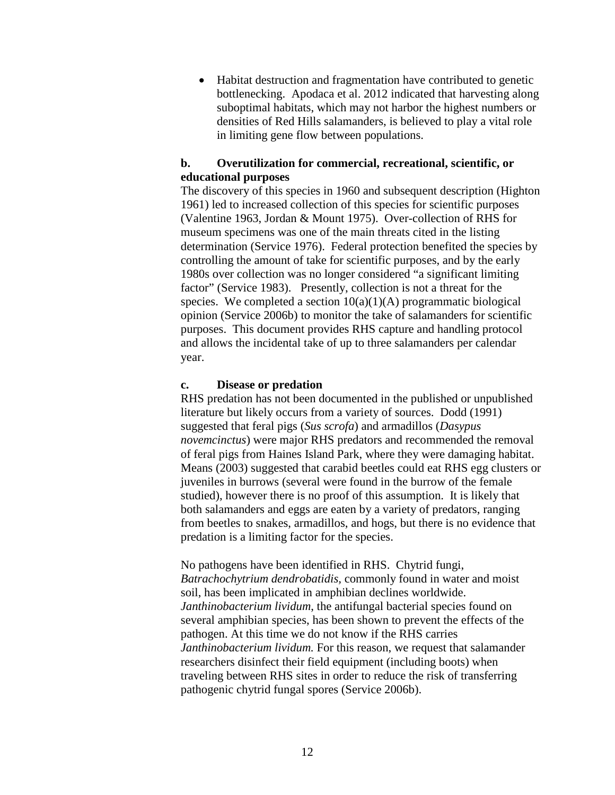• Habitat destruction and fragmentation have contributed to genetic bottlenecking. Apodaca et al. 2012 indicated that harvesting along suboptimal habitats, which may not harbor the highest numbers or densities of Red Hills salamanders, is believed to play a vital role in limiting gene flow between populations.

# **b. Overutilization for commercial, recreational, scientific, or educational purposes**

The discovery of this species in 1960 and subsequent description (Highton 1961) led to increased collection of this species for scientific purposes (Valentine 1963, Jordan & Mount 1975). Over-collection of RHS for museum specimens was one of the main threats cited in the listing determination (Service 1976). Federal protection benefited the species by controlling the amount of take for scientific purposes, and by the early 1980s over collection was no longer considered "a significant limiting factor" (Service 1983). Presently, collection is not a threat for the species. We completed a section  $10(a)(1)(A)$  programmatic biological opinion (Service 2006b) to monitor the take of salamanders for scientific purposes. This document provides RHS capture and handling protocol and allows the incidental take of up to three salamanders per calendar year.

#### **c. Disease or predation**

RHS predation has not been documented in the published or unpublished literature but likely occurs from a variety of sources. Dodd (1991) suggested that feral pigs (*Sus scrofa*) and armadillos (*Dasypus novemcinctus*) were major RHS predators and recommended the removal of feral pigs from Haines Island Park, where they were damaging habitat. Means (2003) suggested that carabid beetles could eat RHS egg clusters or juveniles in burrows (several were found in the burrow of the female studied), however there is no proof of this assumption. It is likely that both salamanders and eggs are eaten by a variety of predators, ranging from beetles to snakes, armadillos, and hogs, but there is no evidence that predation is a limiting factor for the species.

No pathogens have been identified in RHS. Chytrid fungi, *Batrachochytrium dendrobatidis,* commonly found in water and moist soil, has been implicated in amphibian declines worldwide. *Janthinobacterium lividum*, the antifungal bacterial species found on several amphibian species, has been shown to prevent the effects of the pathogen. At this time we do not know if the RHS carries *Janthinobacterium lividum.* For this reason, we request that salamander researchers disinfect their field equipment (including boots) when traveling between RHS sites in order to reduce the risk of transferring pathogenic chytrid fungal spores (Service 2006b).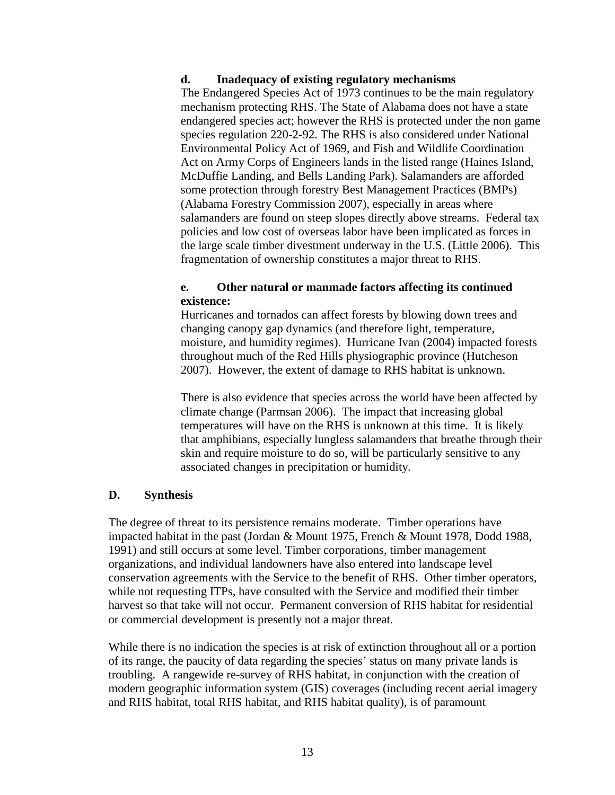### **d. Inadequacy of existing regulatory mechanisms**

The Endangered Species Act of 1973 continues to be the main regulatory mechanism protecting RHS. The State of Alabama does not have a state endangered species act; however the RHS is protected under the non game species regulation 220-2-92. The RHS is also considered under National Environmental Policy Act of 1969, and Fish and Wildlife Coordination Act on Army Corps of Engineers lands in the listed range (Haines Island, McDuffie Landing, and Bells Landing Park). Salamanders are afforded some protection through forestry Best Management Practices (BMPs) (Alabama Forestry Commission 2007), especially in areas where salamanders are found on steep slopes directly above streams. Federal tax policies and low cost of overseas labor have been implicated as forces in the large scale timber divestment underway in the U.S. (Little 2006). This fragmentation of ownership constitutes a major threat to RHS.

## **e. Other natural or manmade factors affecting its continued existence:**

 Hurricanes and tornados can affect forests by blowing down trees and changing canopy gap dynamics (and therefore light, temperature, moisture, and humidity regimes). Hurricane Ivan (2004) impacted forests throughout much of the Red Hills physiographic province (Hutcheson 2007). However, the extent of damage to RHS habitat is unknown.

There is also evidence that species across the world have been affected by climate change (Parmsan 2006). The impact that increasing global temperatures will have on the RHS is unknown at this time. It is likely that amphibians, especially lungless salamanders that breathe through their skin and require moisture to do so, will be particularly sensitive to any associated changes in precipitation or humidity.

### **D. Synthesis**

The degree of threat to its persistence remains moderate. Timber operations have impacted habitat in the past (Jordan & Mount 1975, French & Mount 1978, Dodd 1988, 1991) and still occurs at some level. Timber corporations, timber management organizations, and individual landowners have also entered into landscape level conservation agreements with the Service to the benefit of RHS. Other timber operators, while not requesting ITPs, have consulted with the Service and modified their timber harvest so that take will not occur. Permanent conversion of RHS habitat for residential or commercial development is presently not a major threat.

While there is no indication the species is at risk of extinction throughout all or a portion of its range, the paucity of data regarding the species' status on many private lands is troubling. A rangewide re-survey of RHS habitat, in conjunction with the creation of modern geographic information system (GIS) coverages (including recent aerial imagery and RHS habitat, total RHS habitat, and RHS habitat quality), is of paramount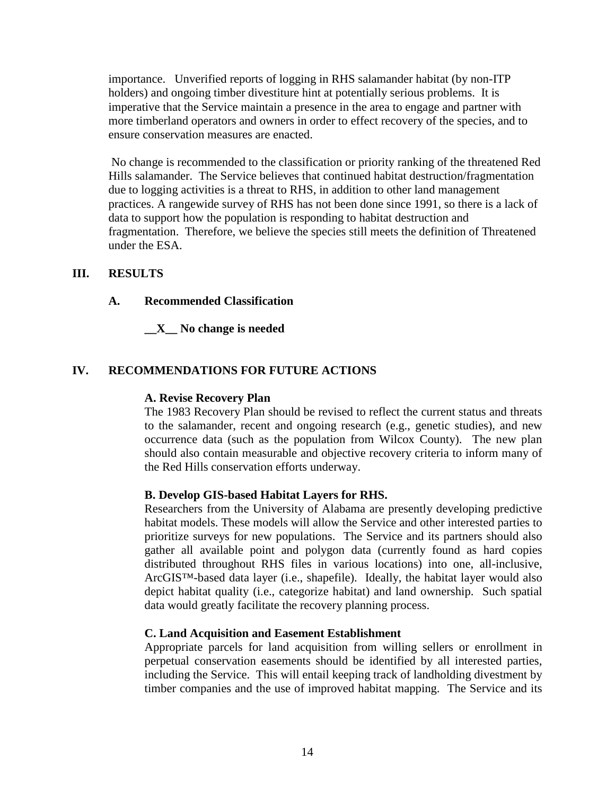importance. Unverified reports of logging in RHS salamander habitat (by non-ITP holders) and ongoing timber divestiture hint at potentially serious problems. It is imperative that the Service maintain a presence in the area to engage and partner with more timberland operators and owners in order to effect recovery of the species, and to ensure conservation measures are enacted.

No change is recommended to the classification or priority ranking of the threatened Red Hills salamander. The Service believes that continued habitat destruction/fragmentation due to logging activities is a threat to RHS, in addition to other land management practices. A rangewide survey of RHS has not been done since 1991, so there is a lack of data to support how the population is responding to habitat destruction and fragmentation. Therefore, we believe the species still meets the definition of Threatened under the ESA.

### **III. RESULTS**

### **A. Recommended Classification**

### **\_\_X\_\_ No change is needed**

# **IV. RECOMMENDATIONS FOR FUTURE ACTIONS**

### **A. Revise Recovery Plan**

The 1983 Recovery Plan should be revised to reflect the current status and threats to the salamander, recent and ongoing research (e.g., genetic studies), and new occurrence data (such as the population from Wilcox County). The new plan should also contain measurable and objective recovery criteria to inform many of the Red Hills conservation efforts underway.

### **B. Develop GIS-based Habitat Layers for RHS.**

Researchers from the University of Alabama are presently developing predictive habitat models. These models will allow the Service and other interested parties to prioritize surveys for new populations. The Service and its partners should also gather all available point and polygon data (currently found as hard copies distributed throughout RHS files in various locations) into one, all-inclusive, ArcGIS™-based data layer (i.e., shapefile). Ideally, the habitat layer would also depict habitat quality (i.e., categorize habitat) and land ownership. Such spatial data would greatly facilitate the recovery planning process.

### **C. Land Acquisition and Easement Establishment**

Appropriate parcels for land acquisition from willing sellers or enrollment in perpetual conservation easements should be identified by all interested parties, including the Service. This will entail keeping track of landholding divestment by timber companies and the use of improved habitat mapping. The Service and its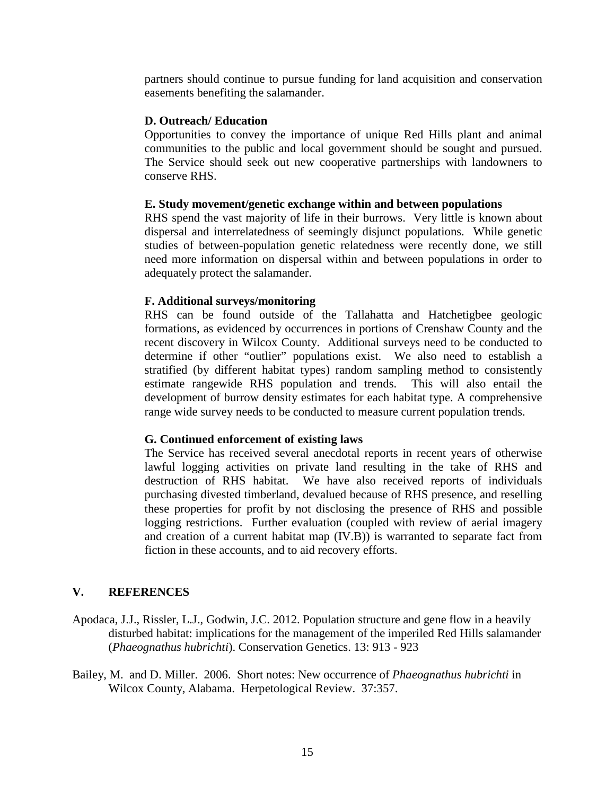partners should continue to pursue funding for land acquisition and conservation easements benefiting the salamander.

### **D. Outreach/ Education**

Opportunities to convey the importance of unique Red Hills plant and animal communities to the public and local government should be sought and pursued. The Service should seek out new cooperative partnerships with landowners to conserve RHS.

### **E. Study movement/genetic exchange within and between populations**

RHS spend the vast majority of life in their burrows. Very little is known about dispersal and interrelatedness of seemingly disjunct populations. While genetic studies of between-population genetic relatedness were recently done, we still need more information on dispersal within and between populations in order to adequately protect the salamander.

### **F. Additional surveys/monitoring**

RHS can be found outside of the Tallahatta and Hatchetigbee geologic formations, as evidenced by occurrences in portions of Crenshaw County and the recent discovery in Wilcox County. Additional surveys need to be conducted to determine if other "outlier" populations exist. We also need to establish a stratified (by different habitat types) random sampling method to consistently estimate rangewide RHS population and trends. This will also entail the development of burrow density estimates for each habitat type. A comprehensive range wide survey needs to be conducted to measure current population trends.

# **G. Continued enforcement of existing laws**

The Service has received several anecdotal reports in recent years of otherwise lawful logging activities on private land resulting in the take of RHS and destruction of RHS habitat. We have also received reports of individuals purchasing divested timberland, devalued because of RHS presence, and reselling these properties for profit by not disclosing the presence of RHS and possible logging restrictions. Further evaluation (coupled with review of aerial imagery and creation of a current habitat map (IV.B)) is warranted to separate fact from fiction in these accounts, and to aid recovery efforts.

# **V. REFERENCES**

- Apodaca, J.J., Rissler, L.J., Godwin, J.C. 2012. Population structure and gene flow in a heavily disturbed habitat: implications for the management of the imperiled Red Hills salamander (*Phaeognathus hubrichti*). Conservation Genetics. 13: 913 - 923
- Bailey, M. and D. Miller. 2006. Short notes: New occurrence of *Phaeognathus hubrichti* in Wilcox County, Alabama. Herpetological Review. 37:357.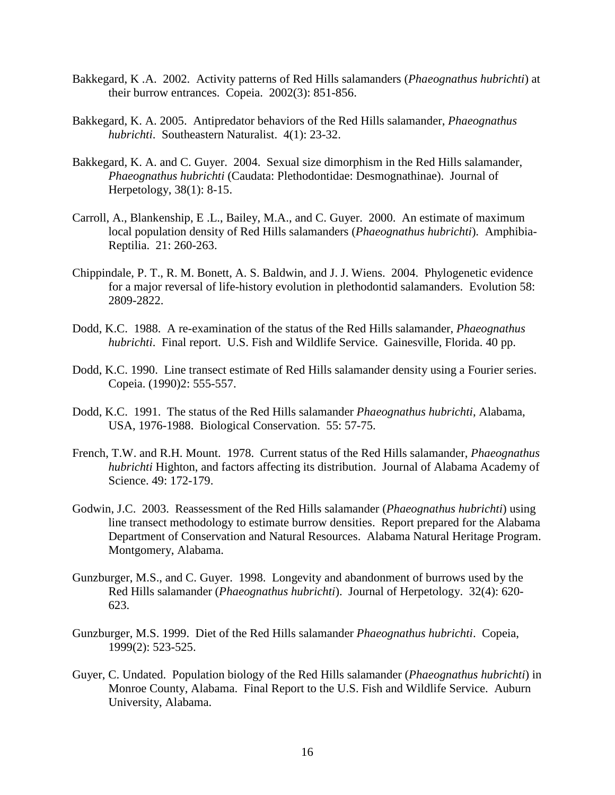- Bakkegard, K .A. 2002. Activity patterns of Red Hills salamanders (*Phaeognathus hubrichti*) at their burrow entrances. Copeia. 2002(3): 851-856.
- Bakkegard, K. A. 2005. Antipredator behaviors of the Red Hills salamander, *Phaeognathus hubrichti*. Southeastern Naturalist. 4(1): 23-32.
- Bakkegard, K. A. and C. Guyer. 2004. Sexual size dimorphism in the Red Hills salamander, *Phaeognathus hubrichti* (Caudata: Plethodontidae: Desmognathinae). Journal of Herpetology, 38(1): 8-15.
- Carroll, A., Blankenship, E .L., Bailey, M.A., and C. Guyer. 2000. An estimate of maximum local population density of Red Hills salamanders (*Phaeognathus hubrichti*). Amphibia-Reptilia. 21: 260-263.
- Chippindale, P. T., R. M. Bonett, A. S. Baldwin, and J. J. Wiens. 2004. Phylogenetic evidence for a major reversal of life-history evolution in plethodontid salamanders. Evolution 58: 2809-2822.
- Dodd, K.C. 1988. A re-examination of the status of the Red Hills salamander, *Phaeognathus hubrichti*. Final report. U.S. Fish and Wildlife Service. Gainesville, Florida. 40 pp.
- Dodd, K.C. 1990. Line transect estimate of Red Hills salamander density using a Fourier series. Copeia. (1990)2: 555-557.
- Dodd, K.C. 1991. The status of the Red Hills salamander *Phaeognathus hubrichti*, Alabama, USA, 1976-1988. Biological Conservation. 55: 57-75.
- French, T.W. and R.H. Mount. 1978. Current status of the Red Hills salamander, *Phaeognathus hubrichti* Highton, and factors affecting its distribution. Journal of Alabama Academy of Science. 49: 172-179.
- Godwin, J.C. 2003. Reassessment of the Red Hills salamander (*Phaeognathus hubrichti*) using line transect methodology to estimate burrow densities. Report prepared for the Alabama Department of Conservation and Natural Resources. Alabama Natural Heritage Program. Montgomery, Alabama.
- Gunzburger, M.S., and C. Guyer. 1998. Longevity and abandonment of burrows used by the Red Hills salamander (*Phaeognathus hubrichti*). Journal of Herpetology. 32(4): 620- 623.
- Gunzburger, M.S. 1999. Diet of the Red Hills salamander *Phaeognathus hubrichti*. Copeia, 1999(2): 523-525.
- Guyer, C. Undated. Population biology of the Red Hills salamander (*Phaeognathus hubrichti*) in Monroe County, Alabama. Final Report to the U.S. Fish and Wildlife Service. Auburn University, Alabama.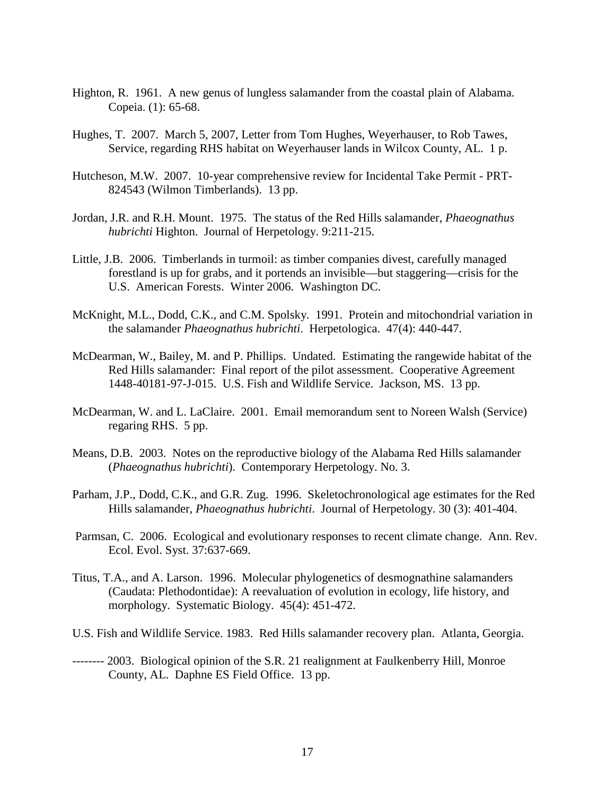- Highton, R. 1961. A new genus of lungless salamander from the coastal plain of Alabama. Copeia. (1): 65-68.
- Hughes, T. 2007. March 5, 2007, Letter from Tom Hughes, Weyerhauser, to Rob Tawes, Service, regarding RHS habitat on Weyerhauser lands in Wilcox County, AL. 1 p.
- Hutcheson, M.W. 2007. 10-year comprehensive review for Incidental Take Permit PRT-824543 (Wilmon Timberlands). 13 pp.
- Jordan, J.R. and R.H. Mount. 1975. The status of the Red Hills salamander, *Phaeognathus hubrichti* Highton. Journal of Herpetology. 9:211-215.
- Little, J.B. 2006. Timberlands in turmoil: as timber companies divest, carefully managed forestland is up for grabs, and it portends an invisible—but staggering—crisis for the U.S. American Forests. Winter 2006. Washington DC.
- McKnight, M.L., Dodd, C.K., and C.M. Spolsky. 1991. Protein and mitochondrial variation in the salamander *Phaeognathus hubrichti*. Herpetologica. 47(4): 440-447.
- McDearman, W., Bailey, M. and P. Phillips. Undated. Estimating the rangewide habitat of the Red Hills salamander: Final report of the pilot assessment. Cooperative Agreement 1448-40181-97-J-015. U.S. Fish and Wildlife Service. Jackson, MS. 13 pp.
- McDearman, W. and L. LaClaire. 2001. Email memorandum sent to Noreen Walsh (Service) regaring RHS. 5 pp.
- Means, D.B. 2003. Notes on the reproductive biology of the Alabama Red Hills salamander (*Phaeognathus hubrichti*). Contemporary Herpetology. No. 3.
- Parham, J.P., Dodd, C.K., and G.R. Zug. 1996. Skeletochronological age estimates for the Red Hills salamander, *Phaeognathus hubrichti*. Journal of Herpetology. 30 (3): 401-404.
- Parmsan, C. 2006. Ecological and evolutionary responses to recent climate change. Ann. Rev. Ecol. Evol. Syst. 37:637-669.
- Titus, T.A., and A. Larson. 1996. Molecular phylogenetics of desmognathine salamanders (Caudata: Plethodontidae): A reevaluation of evolution in ecology, life history, and morphology. Systematic Biology. 45(4): 451-472.
- U.S. Fish and Wildlife Service. 1983. Red Hills salamander recovery plan. Atlanta, Georgia.
- -------- 2003. Biological opinion of the S.R. 21 realignment at Faulkenberry Hill, Monroe County, AL. Daphne ES Field Office. 13 pp.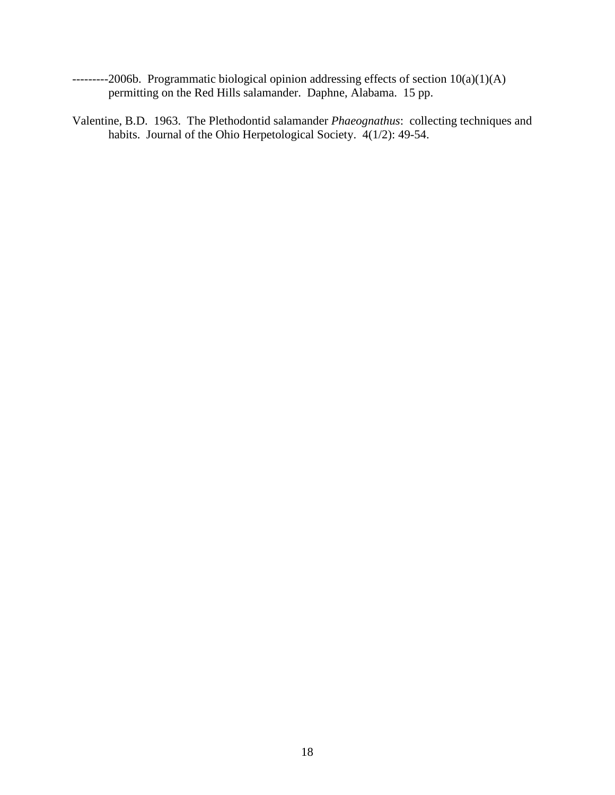- ---------2006b. Programmatic biological opinion addressing effects of section 10(a)(1)(A) permitting on the Red Hills salamander. Daphne, Alabama. 15 pp.
- Valentine, B.D. 1963. The Plethodontid salamander *Phaeognathus*: collecting techniques and habits. Journal of the Ohio Herpetological Society.  $4(1/2)$ : 49-54.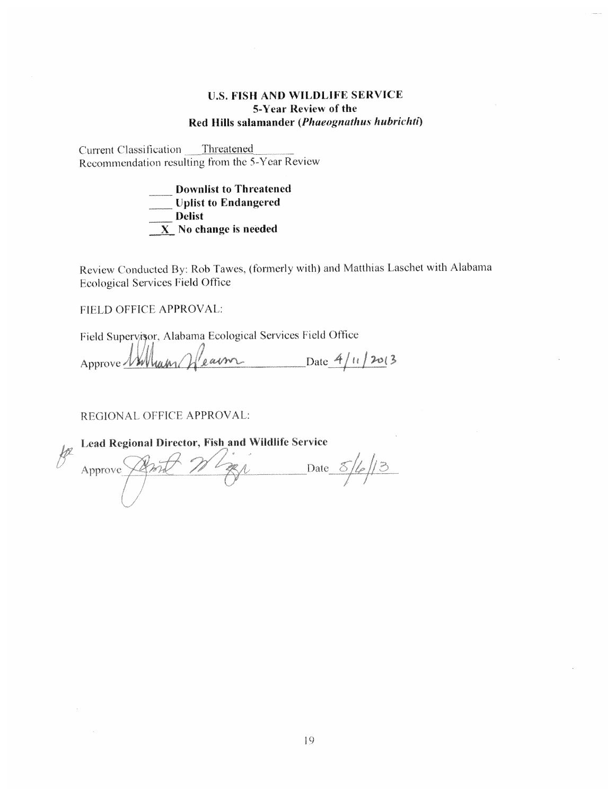### **U.S. FISH AND WILDLIFE SERVICE** 5-Year Review of the Red Hills salamander (Phaeognathus hubrichti)

Current Classification Threatened Recommendation resulting from the 5-Year Review

> **Downlist to Threatened** Uplist to Endangered  $\frac{1}{\sqrt{1-\frac{1}{2}}}\text{Delta}$ **EXECUTE:** No change is needed

Review Conducted By: Rob Tawes, (formerly with) and Matthias Laschet with Alabama **Ecological Services Field Office** 

FIELD OFFICE APPROVAL:

Field Supervisor, Alabama Ecological Services Field Office

Approve Wallum Glearm Date 4/11/2013

REGIONAL OFFICE APPROVAL:

| l sco | Lead Regional Director, Fish and Wildlife Service |  |  |  |  |  |
|-------|---------------------------------------------------|--|--|--|--|--|
|       | Approve                                           |  |  |  |  |  |
|       |                                                   |  |  |  |  |  |